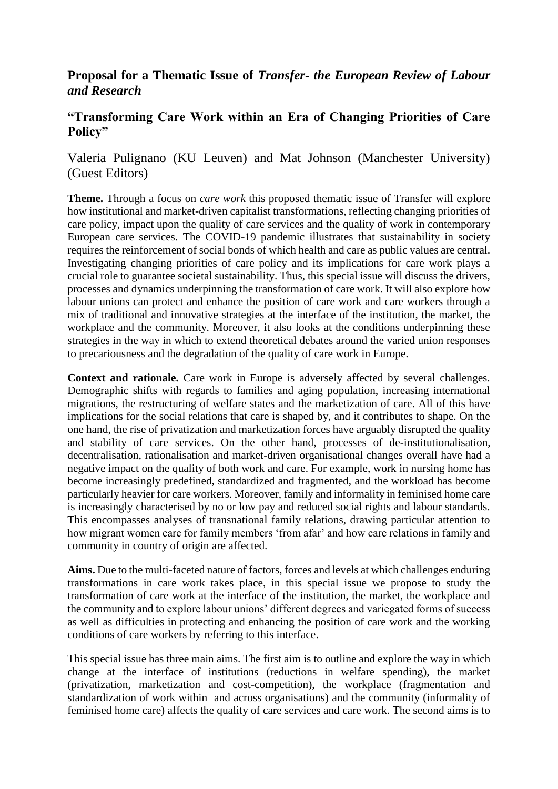## **Proposal for a Thematic Issue of** *Transfer- the European Review of Labour and Research*

## **"Transforming Care Work within an Era of Changing Priorities of Care Policy"**

Valeria Pulignano (KU Leuven) and Mat Johnson (Manchester University) (Guest Editors)

**Theme.** Through a focus on *care work* this proposed thematic issue of Transfer will explore how institutional and market-driven capitalist transformations, reflecting changing priorities of care policy, impact upon the quality of care services and the quality of work in contemporary European care services. The COVID-19 pandemic illustrates that sustainability in society requires the reinforcement of social bonds of which health and care as public values are central. Investigating changing priorities of care policy and its implications for care work plays a crucial role to guarantee societal sustainability. Thus, this special issue will discuss the drivers, processes and dynamics underpinning the transformation of care work. It will also explore how labour unions can protect and enhance the position of care work and care workers through a mix of traditional and innovative strategies at the interface of the institution, the market, the workplace and the community. Moreover, it also looks at the conditions underpinning these strategies in the way in which to extend theoretical debates around the varied union responses to precariousness and the degradation of the quality of care work in Europe.

**Context and rationale.** Care work in Europe is adversely affected by several challenges. Demographic shifts with regards to families and aging population, increasing international migrations, the restructuring of welfare states and the marketization of care. All of this have implications for the social relations that care is shaped by, and it contributes to shape. On the one hand, the rise of privatization and marketization forces have arguably disrupted the quality and stability of care services. On the other hand, processes of de-institutionalisation, decentralisation, rationalisation and market-driven organisational changes overall have had a negative impact on the quality of both work and care. For example, work in nursing home has become increasingly predefined, standardized and fragmented, and the workload has become particularly heavier for care workers. Moreover, family and informality in feminised home care is increasingly characterised by no or low pay and reduced social rights and labour standards. This encompasses analyses of transnational family relations, drawing particular attention to how migrant women care for family members 'from afar' and how care relations in family and community in country of origin are affected.

**Aims.** Due to the multi-faceted nature of factors, forces and levels at which challenges enduring transformations in care work takes place, in this special issue we propose to study the transformation of care work at the interface of the institution, the market, the workplace and the community and to explore labour unions' different degrees and variegated forms of success as well as difficulties in protecting and enhancing the position of care work and the working conditions of care workers by referring to this interface.

This special issue has three main aims. The first aim is to outline and explore the way in which change at the interface of institutions (reductions in welfare spending), the market (privatization, marketization and cost-competition), the workplace (fragmentation and standardization of work within and across organisations) and the community (informality of feminised home care) affects the quality of care services and care work. The second aims is to